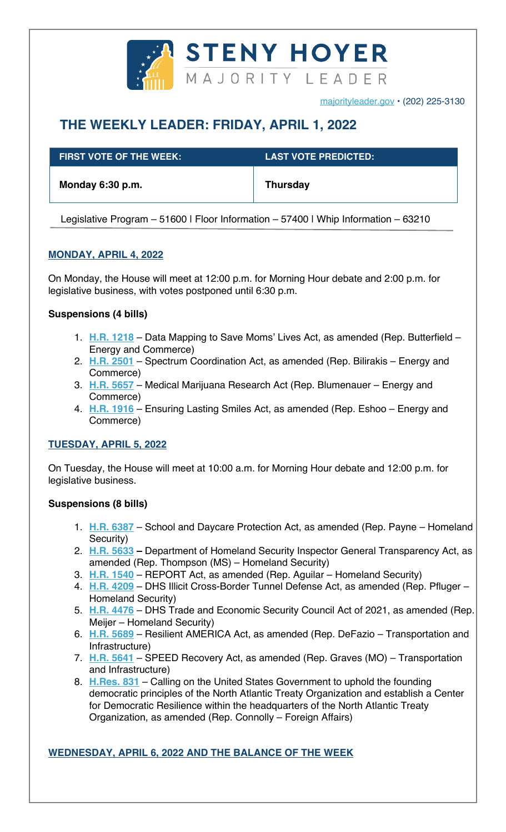

majorityleader.gov • (202) 225-3130

# **THE WEEKLY LEADER: FRIDAY, APRIL 1, 2022**

| $\,$ FIRST VOTE OF THE WEEK: $\,$ | <b>LAST VOTE PREDICTED: 1</b> |
|-----------------------------------|-------------------------------|
| Monday 6:30 p.m.                  | <b>Thursday</b>               |

Legislative Program – 51600 | Floor Information – 57400 | Whip Information – 63210

# **MONDAY, APRIL 4, 2022**

On Monday, the House will meet at 12:00 p.m. for Morning Hour debate and 2:00 p.m. for legislative business, with votes postponed until 6:30 p.m.

## **Suspensions (4 bills)**

- 1. **H.R. 1218** Data Mapping to Save Moms' Lives Act, as amended (Rep. Butterfield Energy and Commerce)
- 2. **H.R. 2501** Spectrum Coordination Act, as amended (Rep. Bilirakis Energy and Commerce)
- 3. **H.R. 5657** Medical Marijuana Research Act (Rep. Blumenauer Energy and Commerce)
- 4. **H.R. 1916** Ensuring Lasting Smiles Act, as amended (Rep. Eshoo Energy and Commerce)

# **TUESDAY, APRIL 5, 2022**

On Tuesday, the House will meet at 10:00 a.m. for Morning Hour debate and 12:00 p.m. for legislative business.

#### **Suspensions (8 bills)**

- 1. **H.R. 6387** School and Daycare Protection Act, as amended (Rep. Payne Homeland Security)
- 2. **H.R. 5633 –** Department of Homeland Security Inspector General Transparency Act, as amended (Rep. Thompson (MS) – Homeland Security)
- 3. **H.R. 1540** REPORT Act, as amended (Rep. Aguilar Homeland Security)
- 4. **H.R. 4209** DHS Illicit Cross-Border Tunnel Defense Act, as amended (Rep. Pfluger Homeland Security)
- 5. **H.R. 4476** DHS Trade and Economic Security Council Act of 2021, as amended (Rep. Meijer – Homeland Security)
- 6. **H.R. 5689** Resilient AMERICA Act, as amended (Rep. DeFazio Transportation and Infrastructure)
- 7. **H.R. 5641** SPEED Recovery Act, as amended (Rep. Graves (MO) Transportation and Infrastructure)
- 8. **H.Res. 831** Calling on the United States Government to uphold the founding democratic principles of the North Atlantic Treaty Organization and establish a Center for Democratic Resilience within the headquarters of the North Atlantic Treaty Organization, as amended (Rep. Connolly – Foreign Affairs)

# **WEDNESDAY, APRIL 6, 2022 AND THE BALANCE OF THE WEEK**